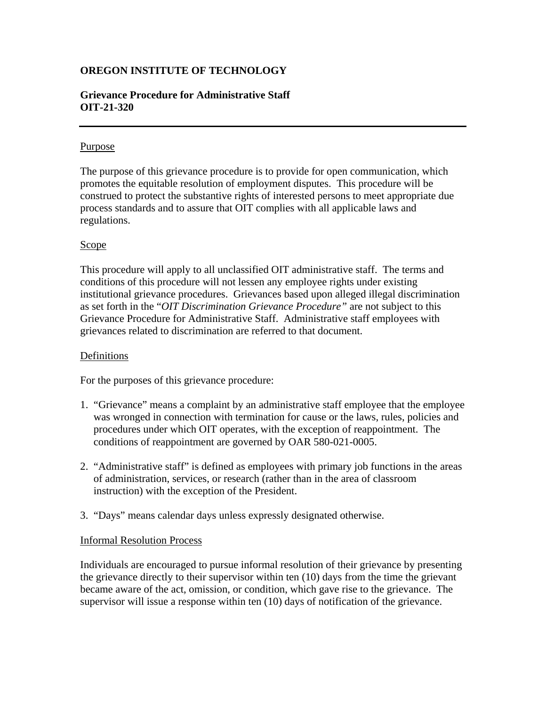# **OREGON INSTITUTE OF TECHNOLOGY**

## **Grievance Procedure for Administrative Staff OIT-21-320**

## Purpose

The purpose of this grievance procedure is to provide for open communication, which promotes the equitable resolution of employment disputes. This procedure will be construed to protect the substantive rights of interested persons to meet appropriate due process standards and to assure that OIT complies with all applicable laws and regulations.

## Scope

This procedure will apply to all unclassified OIT administrative staff. The terms and conditions of this procedure will not lessen any employee rights under existing institutional grievance procedures. Grievances based upon alleged illegal discrimination as set forth in the "*OIT Discrimination Grievance Procedure"* are not subject to this Grievance Procedure for Administrative Staff. Administrative staff employees with grievances related to discrimination are referred to that document.

### Definitions

For the purposes of this grievance procedure:

- 1. "Grievance" means a complaint by an administrative staff employee that the employee was wronged in connection with termination for cause or the laws, rules, policies and procedures under which OIT operates, with the exception of reappointment. The conditions of reappointment are governed by OAR 580-021-0005.
- 2. "Administrative staff" is defined as employees with primary job functions in the areas of administration, services, or research (rather than in the area of classroom instruction) with the exception of the President.
- 3. "Days" means calendar days unless expressly designated otherwise.

### Informal Resolution Process

Individuals are encouraged to pursue informal resolution of their grievance by presenting the grievance directly to their supervisor within ten (10) days from the time the grievant became aware of the act, omission, or condition, which gave rise to the grievance. The supervisor will issue a response within ten (10) days of notification of the grievance.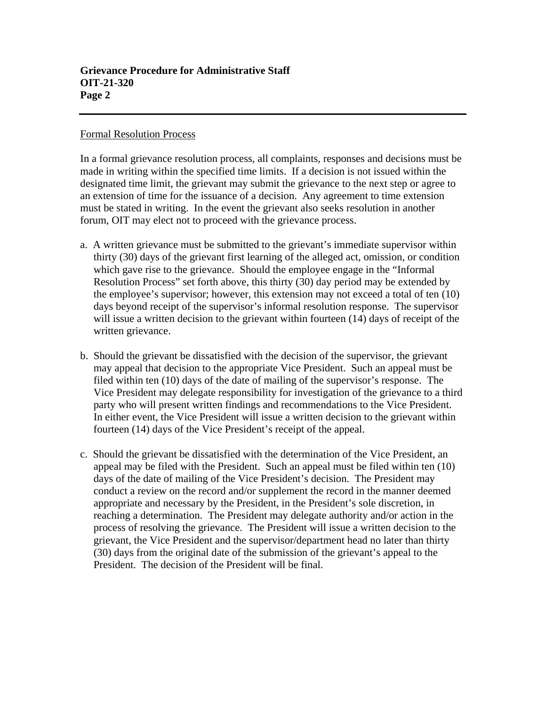#### Formal Resolution Process

In a formal grievance resolution process, all complaints, responses and decisions must be made in writing within the specified time limits. If a decision is not issued within the designated time limit, the grievant may submit the grievance to the next step or agree to an extension of time for the issuance of a decision. Any agreement to time extension must be stated in writing. In the event the grievant also seeks resolution in another forum, OIT may elect not to proceed with the grievance process.

- a. A written grievance must be submitted to the grievant's immediate supervisor within thirty (30) days of the grievant first learning of the alleged act, omission, or condition which gave rise to the grievance. Should the employee engage in the "Informal Resolution Process" set forth above, this thirty (30) day period may be extended by the employee's supervisor; however, this extension may not exceed a total of ten (10) days beyond receipt of the supervisor's informal resolution response. The supervisor will issue a written decision to the grievant within fourteen (14) days of receipt of the written grievance.
- b. Should the grievant be dissatisfied with the decision of the supervisor, the grievant may appeal that decision to the appropriate Vice President. Such an appeal must be filed within ten (10) days of the date of mailing of the supervisor's response. The Vice President may delegate responsibility for investigation of the grievance to a third party who will present written findings and recommendations to the Vice President. In either event, the Vice President will issue a written decision to the grievant within fourteen (14) days of the Vice President's receipt of the appeal.
- c. Should the grievant be dissatisfied with the determination of the Vice President, an appeal may be filed with the President. Such an appeal must be filed within ten (10) days of the date of mailing of the Vice President's decision. The President may conduct a review on the record and/or supplement the record in the manner deemed appropriate and necessary by the President, in the President's sole discretion, in reaching a determination. The President may delegate authority and/or action in the process of resolving the grievance. The President will issue a written decision to the grievant, the Vice President and the supervisor/department head no later than thirty (30) days from the original date of the submission of the grievant's appeal to the President. The decision of the President will be final.